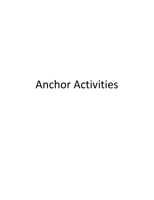# Anchor Activities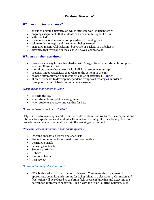# **I'm done. Now what?**

# *What are anchor activities?*

- specified ongoing activities on which students work independently
- ongoing assignments that students can work on throughout a unit
- self-directed
- include aspects that can be completed on an ongoing basis
- relate to the concepts and the content being learned
- engaging, meaningful tasks, not busywork or packets of worksheets
- activities that everyone in the class will have a chance to do

## *Why use anchor activities?*

- provide a strategy for teachers to deal with "ragged time" when students complete work at different times
- they allow the teacher to work with individual students or groups
- provides ongoing activities that relate to the content of the unit
- provide differentiation due to student choice of activities  $(DI \text{ Bing})$
- allow the teacher to develop independent group work strategies in order to incorporate a mini lab of computers in classroom

#### *When are anchor activities used?*

- $\bullet$  to begin the day
- when students complete an assignment
- when students are stuck and waiting for help

#### *How can I assess anchor activities?*

Help students to take responsibility for their roles in classroom routines. Clear expectations, rationale for expectations and student self evaluation are integral to developing classroom procedures and student ownership within the learning environment.

## *How can I assess individual anchor activity work?*

- Ongoing anecdotal records and checklists
- Student conferences for evaluation and goal setting
- Learning journals
- Learning Contracts
- Student portfolios
- Rubrics
- Random checks
- Peer review

#### *How can I manage the classroom?*

 "The brain seeks to make order out of chaos….You can establish patterns of appropriate behavior and systems for doing things in a classroom… Confusion and frustration will be reduced as the brain feels secure in knowing and detecting the pattern for appropriate behavior.""Begin with the Brain" Martha Kaufeldt, 1999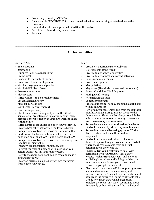- Post a daily or weekly AGENDA
- Create simple PROCEDURES for the expected behaviors on how things are to be done in the classroom
- Guide students to create personal GOALS for themselves.
- Establish routines, rituals, celebrations
- Practice

# **Anchor Activities**

| Language Arts                                                                                          | Math                                                                                                    |  |
|--------------------------------------------------------------------------------------------------------|---------------------------------------------------------------------------------------------------------|--|
| • Silent Reading                                                                                       | Create test questions/Story problems<br>$\bullet$                                                       |  |
| • Journaling                                                                                           | Do "Problems of the Week"<br>$\bullet$                                                                  |  |
| • Guinness Book Scavenger Hunt                                                                         | Create a folder of review activities<br>$\bullet$                                                       |  |
| • Brain Quest                                                                                          | Create a folder of problem solving activities<br>$\bullet$                                              |  |
| • Respond to the quote of the day.                                                                     | Puzzles and math games<br>٠                                                                             |  |
| • Create own Brain Quest questions                                                                     | Create math games<br>$\bullet$                                                                          |  |
| • Word analogy games and puzzles                                                                       | Manipulatives<br>$\bullet$                                                                              |  |
| • Word Wall Bulletin Board                                                                             | Magazines (Have kids connect articles to math)<br>$\bullet$                                             |  |
| • Free computer time                                                                                   | Extended activities/Module project<br>$\bullet$                                                         |  |
| $\bullet\,$ Fluency tests                                                                              | Math journal writing<br>$\bullet$                                                                       |  |
| • Write Jingles – to help recall content                                                               | Research a math topic<br>$\bullet$                                                                      |  |
| • Create Magnetic Poetry                                                                               | Computer programs<br>$\bullet$                                                                          |  |
| • Mad-gabs or Mad-libs<br>• Word Sorts (Parts of Speech)                                               | Practice budgeting (holiday shopping, check book,<br>$\bullet$<br>weekly allowance)                     |  |
| • Sentence sequencing                                                                                  | Review electric bills/water bills from the last three<br>$\bullet$                                      |  |
| • Check out and read a biography about the life of                                                     | months. Find an average amount spent for the                                                            |  |
| someone you are interested in learning about. Then,                                                    | three months. Think of a list of ways we might be                                                       |  |
| prepare a short biography in your own words to share                                                   | able to reduce the amount of energy or water we                                                         |  |
| with the class.                                                                                        | use to save money and resources.                                                                        |  |
| • Write a letter to the author of a book you've enjoyed.                                               | Research calendars or other time-keeping devices.<br>$\bullet$                                          |  |
| • Create a best-seller list for your ten favorite books!                                               | Find out when and by whom they were first used.                                                         |  |
| • Compare and contrast two books by the same author.                                                   | Research money and bartering systems. Work to<br>$\bullet$                                              |  |
| • Find two works that could be apired together. (a                                                     | discover where and when these systems<br>originated.                                                    |  |
| nonfiction book about WWII and a poem about WWII)                                                      | Find out the names and values of at least 5<br>$\bullet$                                                |  |
| • Compare and contrast two books from the same genre                                                   | different types of foreign currency. Be sure to tell                                                    |  |
| (i.e.: fiction, biography,                                                                             | where the currencies come from and what                                                                 |  |
| mystery, realistic fiction, humorous, etc).                                                            | denominations they come in.                                                                             |  |
| • Forecast the sales of a new book in a series or by a<br>certain author. Justify your sales forecast. | Imagine a trip you'd really like to take. With<br>$\bullet$                                             |  |
| • Rewrite the ending of a book you've read and make it                                                 | permission from your teacher, visit a travel                                                            |  |
| end a different way.                                                                                   | website (such as travelocity.com) and check on                                                          |  |
| • Create an original dialogue between two characters                                                   | available plane tickets and lodgings. Add up the                                                        |  |
| from a book you've read.                                                                               | total amount it would cost you to take the trip.                                                        |  |
|                                                                                                        | How could you get the best deal?                                                                        |  |
|                                                                                                        | Plan a road trip across the U.S. stopping by at least<br>$\bullet$                                      |  |
|                                                                                                        | 5 famous landmarks. Use a map/map scale to                                                              |  |
|                                                                                                        | measure distances. Then, add up the total amount<br>of mileage the entire trip (round trip) would take. |  |
|                                                                                                        | Decide how many days you'd be gone and                                                                  |  |
|                                                                                                        | calculate the cost of gas, motel rooms, and meals                                                       |  |
|                                                                                                        | for a family of four. What would the total cost of                                                      |  |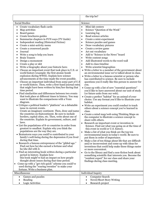|                                                                                                                                                                                                                                                                                                                                                                                                                                                                                                                                                                                                                                                                                                                                                                                                                                                                                                                                                                                                                                                                                                                                                                                                                                                                                                                                                                                                                                                                                                                                                                                                                                                                                                                                                                                                                                                                                                                                                                                                                                                                                                                                                                   | the trip be?                                                                                                                                                                                                                                                                                                                                                                                                                                                                                                                                                                                                                                                                                                                                                                                                                                                                                                                                                                                                                                                                                                                                                                                                                                                                                                                                                                                                                                                                                                                                                                                                                                                                                                                                                                                                                                                                                                                                                                                                                                                                                                                             |  |
|-------------------------------------------------------------------------------------------------------------------------------------------------------------------------------------------------------------------------------------------------------------------------------------------------------------------------------------------------------------------------------------------------------------------------------------------------------------------------------------------------------------------------------------------------------------------------------------------------------------------------------------------------------------------------------------------------------------------------------------------------------------------------------------------------------------------------------------------------------------------------------------------------------------------------------------------------------------------------------------------------------------------------------------------------------------------------------------------------------------------------------------------------------------------------------------------------------------------------------------------------------------------------------------------------------------------------------------------------------------------------------------------------------------------------------------------------------------------------------------------------------------------------------------------------------------------------------------------------------------------------------------------------------------------------------------------------------------------------------------------------------------------------------------------------------------------------------------------------------------------------------------------------------------------------------------------------------------------------------------------------------------------------------------------------------------------------------------------------------------------------------------------------------------------|------------------------------------------------------------------------------------------------------------------------------------------------------------------------------------------------------------------------------------------------------------------------------------------------------------------------------------------------------------------------------------------------------------------------------------------------------------------------------------------------------------------------------------------------------------------------------------------------------------------------------------------------------------------------------------------------------------------------------------------------------------------------------------------------------------------------------------------------------------------------------------------------------------------------------------------------------------------------------------------------------------------------------------------------------------------------------------------------------------------------------------------------------------------------------------------------------------------------------------------------------------------------------------------------------------------------------------------------------------------------------------------------------------------------------------------------------------------------------------------------------------------------------------------------------------------------------------------------------------------------------------------------------------------------------------------------------------------------------------------------------------------------------------------------------------------------------------------------------------------------------------------------------------------------------------------------------------------------------------------------------------------------------------------------------------------------------------------------------------------------------------------|--|
| <b>Social Studies</b>                                                                                                                                                                                                                                                                                                                                                                                                                                                                                                                                                                                                                                                                                                                                                                                                                                                                                                                                                                                                                                                                                                                                                                                                                                                                                                                                                                                                                                                                                                                                                                                                                                                                                                                                                                                                                                                                                                                                                                                                                                                                                                                                             | Science                                                                                                                                                                                                                                                                                                                                                                                                                                                                                                                                                                                                                                                                                                                                                                                                                                                                                                                                                                                                                                                                                                                                                                                                                                                                                                                                                                                                                                                                                                                                                                                                                                                                                                                                                                                                                                                                                                                                                                                                                                                                                                                                  |  |
| Create vocabulary flash cards<br>Map activities<br>Board games<br>Create brochures guides<br>Summarize chapters in FUN ways (TV Guide)<br>Independent reading (Historical Fiction)<br>Create a mini-activity menu<br>Create a crossword puzzle<br>Journal<br>Write a song to help you learn<br><b>Brain Teasers</b><br>٠<br>Design a monument<br>Create a play or skit<br>$\bullet$<br>Write a biography about your historic hero<br>Choose an important event that took place in U.S. or<br>$\bullet$<br>world history (example: the first atomic bomb<br>explosion during WWII). Explain how science<br>advancements at the time made the event possible.<br>Choose an important individual from some part of U.S.<br>or world history. Then, write a first-hand journal entry<br>that might have been written by him/her during that<br>time period.<br>Find similarities and differences between two events<br>that took place at different times in history. You may<br>want to illustrate the comparisons with a Venn<br>diagram.<br>• Critique a political leader's "platform" on a debatable<br>issue in current events.<br>Create an imaginary continent. Then, draw and name<br>the countries on that continent. Be sure to include<br>borders, capital cities, etc. Then, write about one of<br>the countries. Explain its government, culture, and<br>laws.<br>• List the populations of 8-10 countries in order from<br>greatest to smallest. Explain why you think the<br>populations are the way they are.<br>• Brainstorm ways you could've contributed to your<br>family's well-being during the depression if you lived<br>during that time.<br>• Research a famous entrepreneur of the "gilded age."<br>Find out how he/she earned a fortune and what<br>he/she did with it.<br>• Find an interesting book written during a particular<br>period in history. Explain how<br>this book might've had an impact on how people<br>thought about issues during that time period.<br>Come up with a "get rich quick" scheme you could've<br>٠<br>used during the "roaring twenties" to make your<br>fortune. Write a business plan.<br>Miscellaneous | Mini-lab centers<br>$\bullet$<br>Science "Question of the Week"<br>$\bullet$<br>Learning log<br>$\bullet$<br>Read science articles<br>$\bullet$<br>Create a mini-experiment<br>$\bullet$<br>Science puzzles and games<br>$\bullet$<br>Draw vocabulary pictures<br>$\bullet$<br>Create a review game<br>$\bullet$<br>Act out vocabulary<br>$\bullet$<br>Add to "Science in the News" board<br>$\bullet$<br>Write content songs<br>$\bullet$<br>Add illustrated words to the word wall<br>$\bullet$<br>Add to class timeline<br>$\bullet$<br>Write scientist biographies<br>$\bullet$<br>• Write a letter to a member of the government about<br>an environmental issue we've talked about in class.<br>• Write a letter to a famous scientist or person who<br>has contributed to science. Be sure to include<br>questions you'd really like this person to answer for<br>you.<br>• Come up with a list of new "essential questions"<br>you'd like to have answered about our unit of study<br>(or future units from our web).<br>• Create a perfect "habitat" for an animal of your<br>choice. Use any format you'd like to illustrate your<br>habitat.<br>• Write an experiment you could conduct to teach<br>others about a science concept you've learned in<br>class.<br>• Create a mind map/web using Thinking Maps on<br>the computer to illustrate a science concept to<br>share with others.<br>Research an important event or invention in<br>Science. Find out what was going on at the time of<br>this event in world or U.S. history.<br>Make a list of what you think are the top ten<br>$\bullet$<br>environmental issues in today's world. Be sure to<br>put them in order of importance.<br>Make a list of ten things about life that are difficult<br>$\bullet$<br>and/or inconvenient and come up with ideas for<br>inventions that could help make these things easier<br>or more convenient.<br>Go to the library and find a non-fiction book about<br>something scientific that interests you. Become the<br>"resident expert" for our class and share your<br>findings during class meeting.<br>Individual Inquiry |  |
| Games and puzzles<br>$\bullet$                                                                                                                                                                                                                                                                                                                                                                                                                                                                                                                                                                                                                                                                                                                                                                                                                                                                                                                                                                                                                                                                                                                                                                                                                                                                                                                                                                                                                                                                                                                                                                                                                                                                                                                                                                                                                                                                                                                                                                                                                                                                                                                                    | <b>Computer Search</b><br>٠                                                                                                                                                                                                                                                                                                                                                                                                                                                                                                                                                                                                                                                                                                                                                                                                                                                                                                                                                                                                                                                                                                                                                                                                                                                                                                                                                                                                                                                                                                                                                                                                                                                                                                                                                                                                                                                                                                                                                                                                                                                                                                              |  |
| Reading<br>Logic Activities                                                                                                                                                                                                                                                                                                                                                                                                                                                                                                                                                                                                                                                                                                                                                                                                                                                                                                                                                                                                                                                                                                                                                                                                                                                                                                                                                                                                                                                                                                                                                                                                                                                                                                                                                                                                                                                                                                                                                                                                                                                                                                                                       | Novel/Short Story Writing<br>Research project                                                                                                                                                                                                                                                                                                                                                                                                                                                                                                                                                                                                                                                                                                                                                                                                                                                                                                                                                                                                                                                                                                                                                                                                                                                                                                                                                                                                                                                                                                                                                                                                                                                                                                                                                                                                                                                                                                                                                                                                                                                                                            |  |
| ٠                                                                                                                                                                                                                                                                                                                                                                                                                                                                                                                                                                                                                                                                                                                                                                                                                                                                                                                                                                                                                                                                                                                                                                                                                                                                                                                                                                                                                                                                                                                                                                                                                                                                                                                                                                                                                                                                                                                                                                                                                                                                                                                                                                 |                                                                                                                                                                                                                                                                                                                                                                                                                                                                                                                                                                                                                                                                                                                                                                                                                                                                                                                                                                                                                                                                                                                                                                                                                                                                                                                                                                                                                                                                                                                                                                                                                                                                                                                                                                                                                                                                                                                                                                                                                                                                                                                                          |  |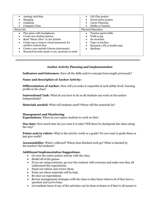| <b>Analogy Activities</b><br>$\bullet$<br>Mapping<br>$\bullet$<br>Graphing<br>$\bullet$<br><b>Computer Time</b>                                                                                                                                                                                                                   | Life Plan project<br>Social action project<br><b>Career Planning</b><br><b>Hobby or Passion</b>                             |  |
|-----------------------------------------------------------------------------------------------------------------------------------------------------------------------------------------------------------------------------------------------------------------------------------------------------------------------------------|-----------------------------------------------------------------------------------------------------------------------------|--|
| Music/Art                                                                                                                                                                                                                                                                                                                         | <b>Physical Education</b>                                                                                                   |  |
| Play piano with headphones<br>$\bullet$<br>Create new rhythm pattern<br>$\bullet$<br>Read "Music Alive" or Art Articles<br>$\bullet$<br>Create rap or song or visual mnemonic for<br>٠<br>another content area<br>Create a new melody (choose instrument)<br>٠<br>Research favorite music or art, musician or artist<br>$\bullet$ | Practice sports drills<br>Walk or jog<br>Do stretches<br>Yoga or aerobics<br>Research a PE or health topic<br>Meditate<br>٠ |  |

# **Anchor Activity Planning and Implementation**

**Indicators and Outcomes:** Have all the skills and/or concepts been taught previously?

**Name and description of Anchor Activity:**

**Differentiation of Anchor:** How will you make it respectful of each ability level/ learning profile in the class?

**Instructional Task**: What do you have to do so all students can work on the anchor independently?

**Materials needed:** What will students need? Where will the materials be?

## **Management and Monitoring**

**Expectations**: When do you expect students to work on this?

**Due date:** How much time do you want it to take? Will there be checkpoint due dates along the way?

**Points and/or rubric:** What is the activity worth as a grade? Do you want to grade them or just give credit?

**Accountability:** What's collected? Where does finished work go? What is checked by the teacher? the students?

## **Additional Implementation Suggestions:**

- Go over the entire anchor activity with the class.
- Model all of the games.
- If you are using contracts, go over the contract with everyone and make sure they all understand the expectations.
- Hand out rubrics and review them.
- Point out where materials will be kept.
- Be clear on expectations.
- Review management strategies with the class so they know what to do if they have a question and you're busy.
- Let students know if any of the activities can be done at home or if they're all meant to